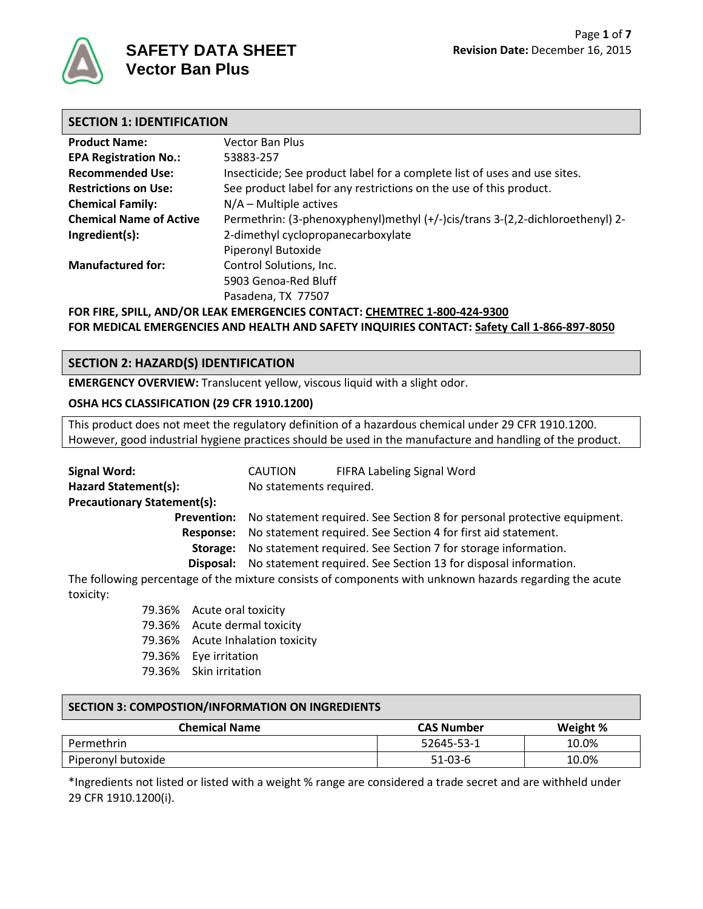

## **SECTION 1: IDENTIFICATION**

| <b>Product Name:</b>                                                      | <b>Vector Ban Plus</b>                                                        |  |
|---------------------------------------------------------------------------|-------------------------------------------------------------------------------|--|
| <b>EPA Registration No.:</b>                                              | 53883-257                                                                     |  |
| <b>Recommended Use:</b>                                                   | Insecticide; See product label for a complete list of uses and use sites.     |  |
| <b>Restrictions on Use:</b>                                               | See product label for any restrictions on the use of this product.            |  |
| <b>Chemical Family:</b>                                                   | $N/A$ – Multiple actives                                                      |  |
| <b>Chemical Name of Active</b>                                            | Permethrin: (3-phenoxyphenyl)methyl (+/-)cis/trans 3-(2,2-dichloroethenyl) 2- |  |
| Ingredient(s):                                                            | 2-dimethyl cyclopropanecarboxylate                                            |  |
|                                                                           | Piperonyl Butoxide                                                            |  |
| <b>Manufactured for:</b>                                                  | Control Solutions, Inc.                                                       |  |
|                                                                           | 5903 Genoa-Red Bluff                                                          |  |
|                                                                           | Pasadena, TX 77507                                                            |  |
| FOR FIRE, SPILL, AND/OR LEAK EMERGENCIES CONTACT: CHEMTREC 1-800-424-9300 |                                                                               |  |

**FOR MEDICAL EMERGENCIES AND HEALTH AND SAFETY INQUIRIES CONTACT: Safety Call 1-866-897-8050**

# **SECTION 2: HAZARD(S) IDENTIFICATION**

**EMERGENCY OVERVIEW:** Translucent yellow, viscous liquid with a slight odor.

#### **OSHA HCS CLASSIFICATION (29 CFR 1910.1200)**

This product does not meet the regulatory definition of a hazardous chemical under 29 CFR 1910.1200. However, good industrial hygiene practices should be used in the manufacture and handling of the product.

| <b>Signal Word:</b>                |                    | CAUTION                                                       | FIFRA Labeling Signal Word                                                                              |  |
|------------------------------------|--------------------|---------------------------------------------------------------|---------------------------------------------------------------------------------------------------------|--|
| <b>Hazard Statement(s):</b>        |                    | No statements required.                                       |                                                                                                         |  |
| <b>Precautionary Statement(s):</b> |                    |                                                               |                                                                                                         |  |
|                                    | <b>Prevention:</b> |                                                               | No statement required. See Section 8 for personal protective equipment.                                 |  |
|                                    | Response:          | No statement required. See Section 4 for first aid statement. |                                                                                                         |  |
|                                    | Storage:           | No statement required. See Section 7 for storage information. |                                                                                                         |  |
|                                    |                    |                                                               | <b>Disposal:</b> No statement required. See Section 13 for disposal information.                        |  |
|                                    |                    |                                                               | The following percentage of the mixture consists of components with unknown hazards regarding the acute |  |
| toxicity:                          |                    |                                                               |                                                                                                         |  |
| 79.36% Acute oral toxicity         |                    |                                                               |                                                                                                         |  |
|                                    |                    | 79.36% Acute dermal toxicity                                  |                                                                                                         |  |

- 79.36% Acute Inhalation toxicity
- 79.36% Eye irritation
- 79.36% Skin irritation

## **SECTION 3: COMPOSTION/INFORMATION ON INGREDIENTS**

| <b>Chemical Name</b> | <b>CAS Number</b> | Weight % |
|----------------------|-------------------|----------|
| Permethrin           | 52645-53-1        | 10.0%    |
| Piperonyl butoxide   | $51-03-6$         | 10.0%    |

\*Ingredients not listed or listed with a weight % range are considered a trade secret and are withheld under 29 CFR 1910.1200(i).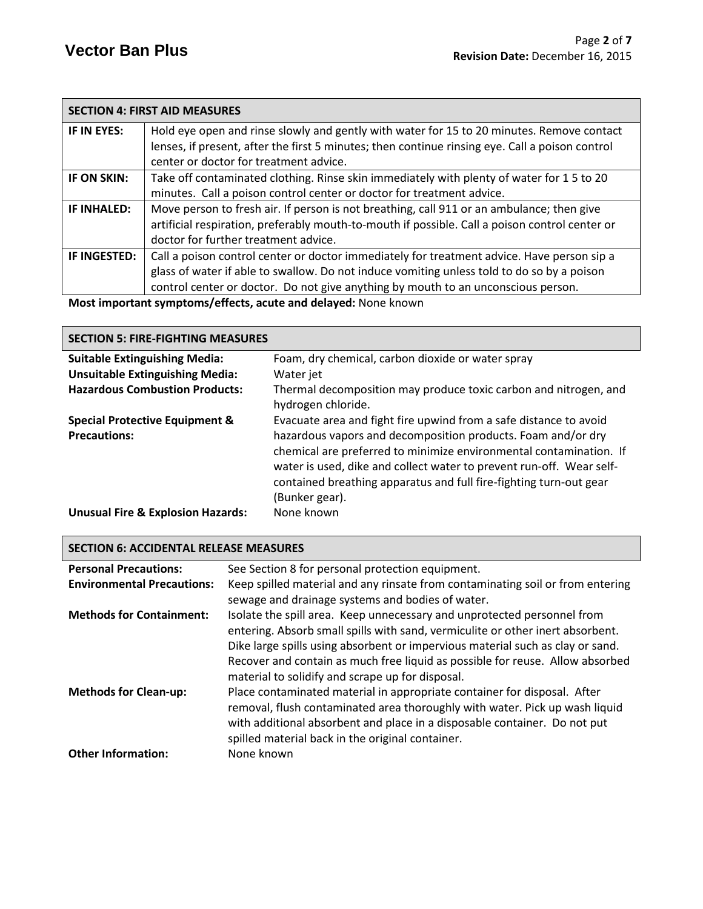|              | <b>SECTION 4: FIRST AID MEASURES</b>                                                            |
|--------------|-------------------------------------------------------------------------------------------------|
| IF IN EYES:  | Hold eye open and rinse slowly and gently with water for 15 to 20 minutes. Remove contact       |
|              | lenses, if present, after the first 5 minutes; then continue rinsing eye. Call a poison control |
|              | center or doctor for treatment advice.                                                          |
| IF ON SKIN:  | Take off contaminated clothing. Rinse skin immediately with plenty of water for 15 to 20        |
|              | minutes. Call a poison control center or doctor for treatment advice.                           |
| IF INHALED:  | Move person to fresh air. If person is not breathing, call 911 or an ambulance; then give       |
|              | artificial respiration, preferably mouth-to-mouth if possible. Call a poison control center or  |
|              | doctor for further treatment advice.                                                            |
| IF INGESTED: | Call a poison control center or doctor immediately for treatment advice. Have person sip a      |
|              | glass of water if able to swallow. Do not induce vomiting unless told to do so by a poison      |
|              | control center or doctor. Do not give anything by mouth to an unconscious person.               |
|              | Most important symptoms/offects, asyte and delayed: None known                                  |

**Most important symptoms/effects, acute and delayed:** None known

| <b>SECTION 5: FIRE-FIGHTING MEASURES</b>     |                                                                                                                                                                                                                                                                                                    |  |  |
|----------------------------------------------|----------------------------------------------------------------------------------------------------------------------------------------------------------------------------------------------------------------------------------------------------------------------------------------------------|--|--|
| <b>Suitable Extinguishing Media:</b>         | Foam, dry chemical, carbon dioxide or water spray                                                                                                                                                                                                                                                  |  |  |
| <b>Unsuitable Extinguishing Media:</b>       | Water jet                                                                                                                                                                                                                                                                                          |  |  |
| <b>Hazardous Combustion Products:</b>        | Thermal decomposition may produce toxic carbon and nitrogen, and<br>hydrogen chloride.                                                                                                                                                                                                             |  |  |
| <b>Special Protective Equipment &amp;</b>    | Evacuate area and fight fire upwind from a safe distance to avoid                                                                                                                                                                                                                                  |  |  |
| <b>Precautions:</b>                          | hazardous vapors and decomposition products. Foam and/or dry<br>chemical are preferred to minimize environmental contamination. If<br>water is used, dike and collect water to prevent run-off. Wear self-<br>contained breathing apparatus and full fire-fighting turn-out gear<br>(Bunker gear). |  |  |
| <b>Unusual Fire &amp; Explosion Hazards:</b> | None known                                                                                                                                                                                                                                                                                         |  |  |

| <b>SECTION 6: ACCIDENTAL RELEASE MEASURES</b> |                                                                                                                                                                                                                                                                                                                                                                                  |  |
|-----------------------------------------------|----------------------------------------------------------------------------------------------------------------------------------------------------------------------------------------------------------------------------------------------------------------------------------------------------------------------------------------------------------------------------------|--|
| <b>Personal Precautions:</b>                  | See Section 8 for personal protection equipment.                                                                                                                                                                                                                                                                                                                                 |  |
| <b>Environmental Precautions:</b>             | Keep spilled material and any rinsate from contaminating soil or from entering                                                                                                                                                                                                                                                                                                   |  |
|                                               | sewage and drainage systems and bodies of water.                                                                                                                                                                                                                                                                                                                                 |  |
| <b>Methods for Containment:</b>               | Isolate the spill area. Keep unnecessary and unprotected personnel from<br>entering. Absorb small spills with sand, vermiculite or other inert absorbent.<br>Dike large spills using absorbent or impervious material such as clay or sand.<br>Recover and contain as much free liquid as possible for reuse. Allow absorbed<br>material to solidify and scrape up for disposal. |  |
| <b>Methods for Clean-up:</b>                  | Place contaminated material in appropriate container for disposal. After<br>removal, flush contaminated area thoroughly with water. Pick up wash liquid<br>with additional absorbent and place in a disposable container. Do not put<br>spilled material back in the original container.                                                                                         |  |
| <b>Other Information:</b>                     | None known                                                                                                                                                                                                                                                                                                                                                                       |  |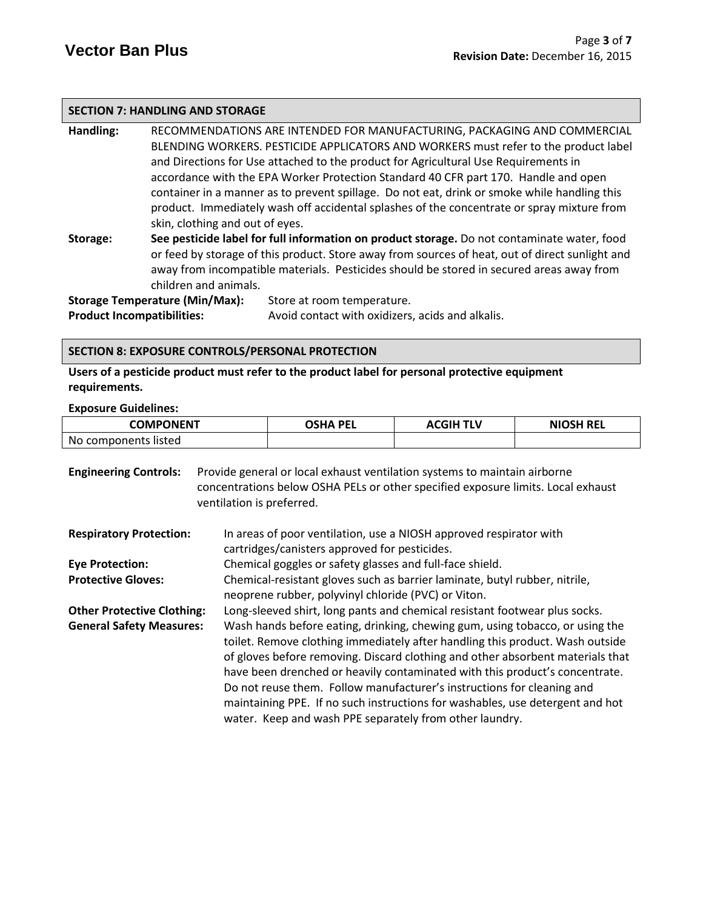#### **SECTION 7: HANDLING AND STORAGE**

**Handling:** RECOMMENDATIONS ARE INTENDED FOR MANUFACTURING, PACKAGING AND COMMERCIAL BLENDING WORKERS. PESTICIDE APPLICATORS AND WORKERS must refer to the product label and Directions for Use attached to the product for Agricultural Use Requirements in accordance with the EPA Worker Protection Standard 40 CFR part 170.Handle and open container in a manner as to prevent spillage. Do not eat, drink or smoke while handling this product. Immediately wash off accidental splashes of the concentrate or spray mixture from skin, clothing and out of eyes.

**Storage: See pesticide label for full information on product storage.** Do not contaminate water, food or feed by storage of this product. Store away from sources of heat, out of direct sunlight and away from incompatible materials. Pesticides should be stored in secured areas away from children and animals.

**Storage Temperature (Min/Max):** Store at room temperature. **Product Incompatibilities:** Avoid contact with oxidizers, acids and alkalis.

#### **SECTION 8: EXPOSURE CONTROLS/PERSONAL PROTECTION**

**Users of a pesticide product must refer to the product label for personal protective equipment requirements.**

#### **Exposure Guidelines:**

| COMPONENT            | OSHA PEL | <b>ACGIH TLV</b> | <b>NIOSH REL</b> |
|----------------------|----------|------------------|------------------|
| No components listed |          |                  |                  |

| <b>Engineering Controls:</b>      | Provide general or local exhaust ventilation systems to maintain airborne<br>concentrations below OSHA PELs or other specified exposure limits. Local exhaust<br>ventilation is preferred.                                                                                                                                                                                                                                                                                                                                                           |  |
|-----------------------------------|------------------------------------------------------------------------------------------------------------------------------------------------------------------------------------------------------------------------------------------------------------------------------------------------------------------------------------------------------------------------------------------------------------------------------------------------------------------------------------------------------------------------------------------------------|--|
| <b>Respiratory Protection:</b>    | In areas of poor ventilation, use a NIOSH approved respirator with<br>cartridges/canisters approved for pesticides.                                                                                                                                                                                                                                                                                                                                                                                                                                  |  |
| <b>Eye Protection:</b>            | Chemical goggles or safety glasses and full-face shield.                                                                                                                                                                                                                                                                                                                                                                                                                                                                                             |  |
| <b>Protective Gloves:</b>         | Chemical-resistant gloves such as barrier laminate, butyl rubber, nitrile,<br>neoprene rubber, polyvinyl chloride (PVC) or Viton.                                                                                                                                                                                                                                                                                                                                                                                                                    |  |
| <b>Other Protective Clothing:</b> | Long-sleeved shirt, long pants and chemical resistant footwear plus socks.                                                                                                                                                                                                                                                                                                                                                                                                                                                                           |  |
| <b>General Safety Measures:</b>   | Wash hands before eating, drinking, chewing gum, using tobacco, or using the<br>toilet. Remove clothing immediately after handling this product. Wash outside<br>of gloves before removing. Discard clothing and other absorbent materials that<br>have been drenched or heavily contaminated with this product's concentrate.<br>Do not reuse them. Follow manufacturer's instructions for cleaning and<br>maintaining PPE. If no such instructions for washables, use detergent and hot<br>water. Keep and wash PPE separately from other laundry. |  |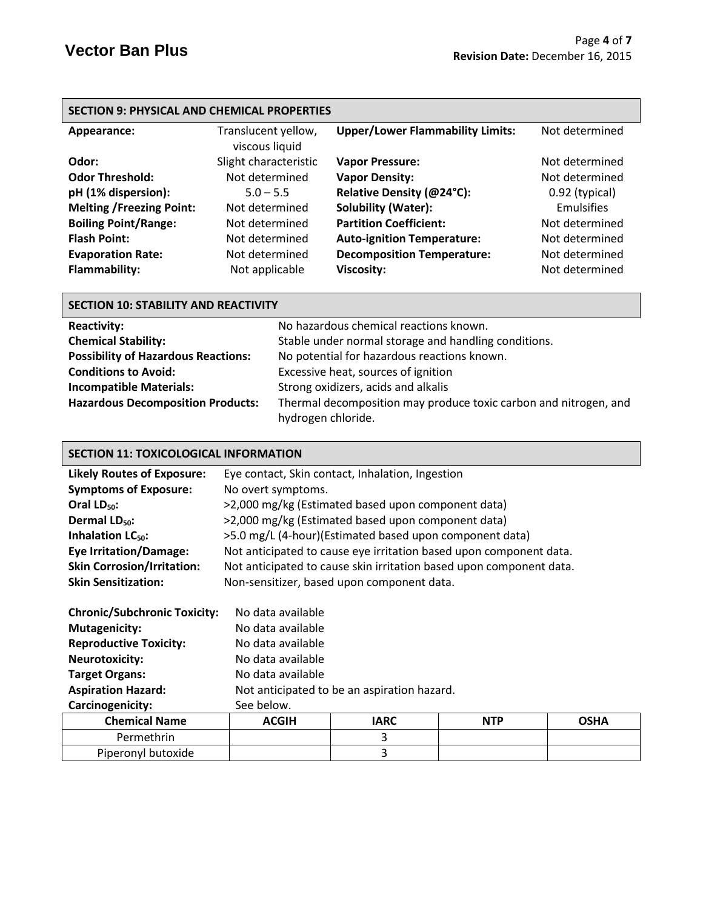| <b>SECTION 9: PHYSICAL AND CHEMICAL PROPERTIES</b> |                                       |                                         |                   |
|----------------------------------------------------|---------------------------------------|-----------------------------------------|-------------------|
| Appearance:                                        | Translucent yellow,<br>viscous liquid | <b>Upper/Lower Flammability Limits:</b> | Not determined    |
| Odor:                                              | Slight characteristic                 | <b>Vapor Pressure:</b>                  | Not determined    |
| <b>Odor Threshold:</b>                             | Not determined                        | <b>Vapor Density:</b>                   | Not determined    |
| pH (1% dispersion):                                | $5.0 - 5.5$                           | Relative Density (@24°C):               | 0.92 (typical)    |
| <b>Melting /Freezing Point:</b>                    | Not determined                        | <b>Solubility (Water):</b>              | <b>Emulsifies</b> |
| <b>Boiling Point/Range:</b>                        | Not determined                        | <b>Partition Coefficient:</b>           | Not determined    |
| <b>Flash Point:</b>                                | Not determined                        | <b>Auto-ignition Temperature:</b>       | Not determined    |
| <b>Evaporation Rate:</b>                           | Not determined                        | <b>Decomposition Temperature:</b>       | Not determined    |
| <b>Flammability:</b>                               | Not applicable                        | <b>Viscosity:</b>                       | Not determined    |

| <b>SECTION 10: STABILITY AND REACTIVITY</b> |                                                                  |  |
|---------------------------------------------|------------------------------------------------------------------|--|
| <b>Reactivity:</b>                          | No hazardous chemical reactions known.                           |  |
| <b>Chemical Stability:</b>                  | Stable under normal storage and handling conditions.             |  |
| <b>Possibility of Hazardous Reactions:</b>  | No potential for hazardous reactions known.                      |  |
| <b>Conditions to Avoid:</b>                 | Excessive heat, sources of ignition                              |  |
| <b>Incompatible Materials:</b>              | Strong oxidizers, acids and alkalis                              |  |
| <b>Hazardous Decomposition Products:</b>    | Thermal decomposition may produce toxic carbon and nitrogen, and |  |
|                                             | hydrogen chloride.                                               |  |

# **SECTION 11: TOXICOLOGICAL INFORMATION**

| <b>Likely Routes of Exposure:</b>   |                                             | Eye contact, Skin contact, Inhalation, Ingestion                    |            |             |
|-------------------------------------|---------------------------------------------|---------------------------------------------------------------------|------------|-------------|
| <b>Symptoms of Exposure:</b>        | No overt symptoms.                          |                                                                     |            |             |
| Oral $LD_{50}$ :                    |                                             | >2,000 mg/kg (Estimated based upon component data)                  |            |             |
| Dermal LD <sub>50</sub> :           |                                             | >2,000 mg/kg (Estimated based upon component data)                  |            |             |
| Inhalation LC <sub>50</sub> :       |                                             | >5.0 mg/L (4-hour)(Estimated based upon component data)             |            |             |
| <b>Eye Irritation/Damage:</b>       |                                             | Not anticipated to cause eye irritation based upon component data.  |            |             |
| <b>Skin Corrosion/Irritation:</b>   |                                             | Not anticipated to cause skin irritation based upon component data. |            |             |
| <b>Skin Sensitization:</b>          |                                             | Non-sensitizer, based upon component data.                          |            |             |
|                                     |                                             |                                                                     |            |             |
| <b>Chronic/Subchronic Toxicity:</b> | No data available                           |                                                                     |            |             |
| <b>Mutagenicity:</b>                | No data available                           |                                                                     |            |             |
| <b>Reproductive Toxicity:</b>       | No data available                           |                                                                     |            |             |
| <b>Neurotoxicity:</b>               | No data available                           |                                                                     |            |             |
| <b>Target Organs:</b>               | No data available                           |                                                                     |            |             |
| <b>Aspiration Hazard:</b>           | Not anticipated to be an aspiration hazard. |                                                                     |            |             |
| Carcinogenicity:                    | See below.                                  |                                                                     |            |             |
| <b>Chemical Name</b>                | <b>ACGIH</b>                                | <b>IARC</b>                                                         | <b>NTP</b> | <b>OSHA</b> |
| Permethrin                          |                                             | 3                                                                   |            |             |
| Piperonyl butoxide                  |                                             | 3                                                                   |            |             |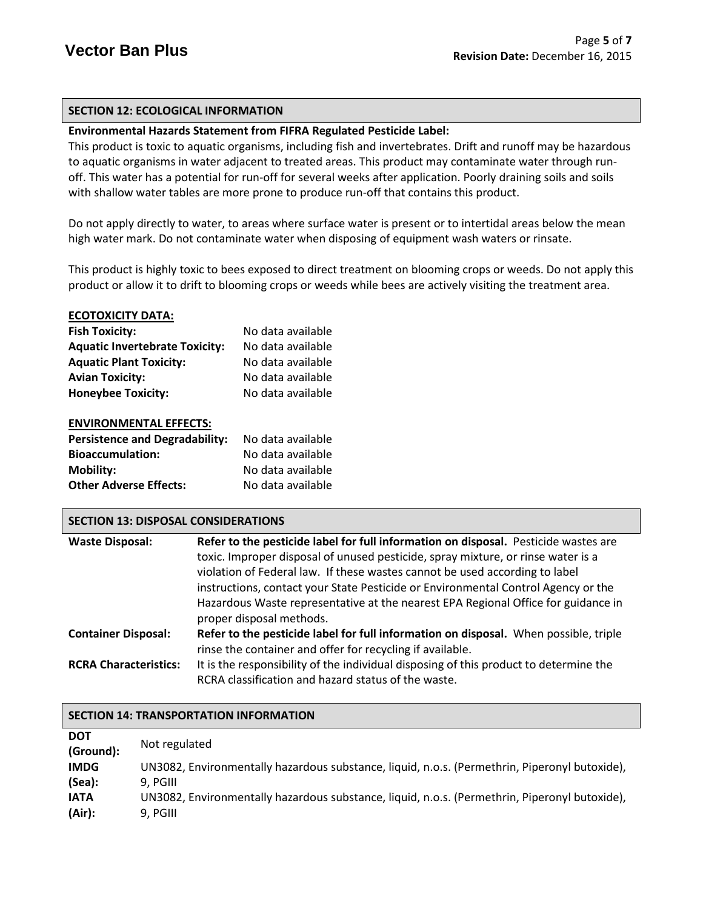# **SECTION 12: ECOLOGICAL INFORMATION**

# **Environmental Hazards Statement from FIFRA Regulated Pesticide Label:**

This product is toxic to aquatic organisms, including fish and invertebrates. Drift and runoff may be hazardous to aquatic organisms in water adjacent to treated areas. This product may contaminate water through runoff. This water has a potential for run-off for several weeks after application. Poorly draining soils and soils with shallow water tables are more prone to produce run-off that contains this product.

Do not apply directly to water, to areas where surface water is present or to intertidal areas below the mean high water mark. Do not contaminate water when disposing of equipment wash waters or rinsate.

This product is highly toxic to bees exposed to direct treatment on blooming crops or weeds. Do not apply this product or allow it to drift to blooming crops or weeds while bees are actively visiting the treatment area.

#### **ECOTOXICITY DATA:**

| <b>Fish Toxicity:</b>                 | No data available |
|---------------------------------------|-------------------|
| <b>Aquatic Invertebrate Toxicity:</b> | No data available |
| <b>Aquatic Plant Toxicity:</b>        | No data available |
| <b>Avian Toxicity:</b>                | No data available |
| <b>Honeybee Toxicity:</b>             | No data available |
| <b>ENVIRONMENTAL EFFECTS:</b>         |                   |

| <b>Persistence and Degradability:</b> | No data available |
|---------------------------------------|-------------------|
| <b>Bioaccumulation:</b>               | No data available |
| <b>Mobility:</b>                      | No data available |
| <b>Other Adverse Effects:</b>         | No data available |

## **SECTION 13: DISPOSAL CONSIDERATIONS**

| <b>Waste Disposal:</b>       | Refer to the pesticide label for full information on disposal. Pesticide wastes are   |
|------------------------------|---------------------------------------------------------------------------------------|
|                              | toxic. Improper disposal of unused pesticide, spray mixture, or rinse water is a      |
|                              | violation of Federal law. If these wastes cannot be used according to label           |
|                              | instructions, contact your State Pesticide or Environmental Control Agency or the     |
|                              | Hazardous Waste representative at the nearest EPA Regional Office for guidance in     |
|                              | proper disposal methods.                                                              |
| <b>Container Disposal:</b>   | Refer to the pesticide label for full information on disposal. When possible, triple  |
|                              | rinse the container and offer for recycling if available.                             |
| <b>RCRA Characteristics:</b> | It is the responsibility of the individual disposing of this product to determine the |
|                              | RCRA classification and hazard status of the waste.                                   |
|                              |                                                                                       |

| <b>SECTION 14: TRANSPORTATION INFORMATION</b> |                                                                                               |  |  |
|-----------------------------------------------|-----------------------------------------------------------------------------------------------|--|--|
| <b>DOT</b><br>(Ground):                       | Not regulated                                                                                 |  |  |
| <b>IMDG</b>                                   | UN3082, Environmentally hazardous substance, liquid, n.o.s. (Permethrin, Piperonyl butoxide), |  |  |
| (Sea):                                        | 9. PGIII                                                                                      |  |  |
| <b>IATA</b>                                   | UN3082, Environmentally hazardous substance, liquid, n.o.s. (Permethrin, Piperonyl butoxide), |  |  |
| (Air):                                        | 9, PGIII                                                                                      |  |  |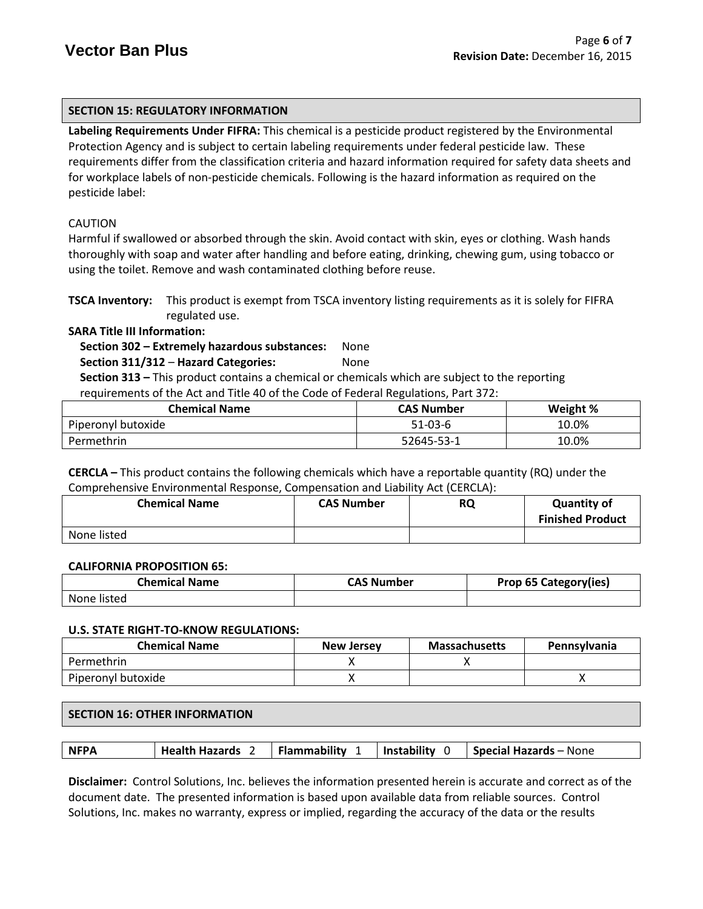# **SECTION 15: REGULATORY INFORMATION**

**Labeling Requirements Under FIFRA:** This chemical is a pesticide product registered by the Environmental Protection Agency and is subject to certain labeling requirements under federal pesticide law. These requirements differ from the classification criteria and hazard information required for safety data sheets and for workplace labels of non-pesticide chemicals. Following is the hazard information as required on the pesticide label:

# CAUTION

Harmful if swallowed or absorbed through the skin. Avoid contact with skin, eyes or clothing. Wash hands thoroughly with soap and water after handling and before eating, drinking, chewing gum, using tobacco or using the toilet. Remove and wash contaminated clothing before reuse.

**TSCA Inventory:** This product is exempt from TSCA inventory listing requirements as it is solely for FIFRA regulated use.

**SARA Title III Information:**

 **Section 302 – Extremely hazardous substances:** None

 **Section 311/312** – **Hazard Categories:** None

 **Section 313 –** This product contains a chemical or chemicals which are subject to the reporting requirements of the Act and Title 40 of the Code of Federal Regulations, Part 372:

| <b>Chemical Name</b> | <b>CAS Number</b> | Weight % |
|----------------------|-------------------|----------|
| Piperonyl butoxide   | $51-03-6$         | 10.0%    |
| Permethrin           | 52645-53-1        | 10.0%    |

**CERCLA –** This product contains the following chemicals which have a reportable quantity (RQ) under the Comprehensive Environmental Response, Compensation and Liability Act (CERCLA):

| <b>Chemical Name</b> | <b>CAS Number</b> | RQ | <b>Quantity of</b><br><b>Finished Product</b> |
|----------------------|-------------------|----|-----------------------------------------------|
| None listed          |                   |    |                                               |

## **CALIFORNIA PROPOSITION 65:**

| <b>Chemical Name</b> | <b>CAS Number</b> | Prop 65 Category(ies) |
|----------------------|-------------------|-----------------------|
| None listed          |                   |                       |

#### **U.S. STATE RIGHT-TO-KNOW REGULATIONS:**

| <b>Chemical Name</b> | <b>New Jersey</b> | <b>Massachusetts</b> | <b>Pennsylvania</b> |
|----------------------|-------------------|----------------------|---------------------|
| Permethrin           |                   |                      |                     |
| Piperonyl butoxide   |                   |                      |                     |

## **SECTION 16: OTHER INFORMATION**

| Flammability<br>Instability<br><b>Health Hazards</b><br><b>NFPA</b><br>Special Hazards - None |  |  |  |
|-----------------------------------------------------------------------------------------------|--|--|--|
|                                                                                               |  |  |  |

**Disclaimer:** Control Solutions, Inc. believes the information presented herein is accurate and correct as of the document date. The presented information is based upon available data from reliable sources. Control Solutions, Inc. makes no warranty, express or implied, regarding the accuracy of the data or the results